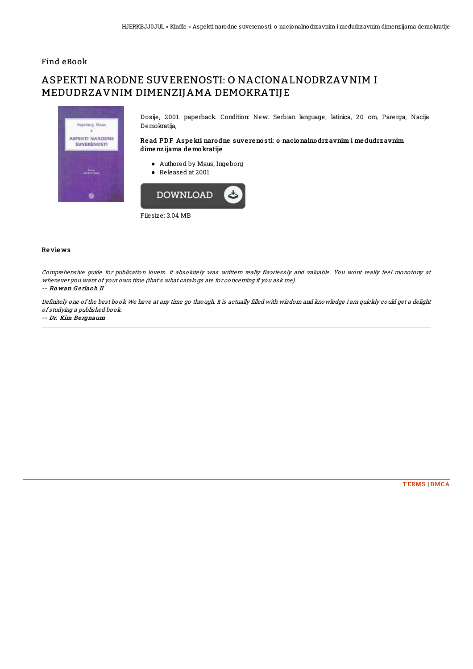## Find eBook

# ASPEKTI NARODNE SUVERENOSTI: O NACIONALNODRZAVNIM I MEDUDRZAVNIM DIMENZIJAMA DEMOKRATIJE



Dosije, 2001. paperback. Condition: New. Serbian language, latinica, 20 cm, Parerga, Nacija Demokratija,

## Read PDF Aspekti narodne suverenosti: o nacionalnodrz avnim i medudrz avnim dime nz ijama de mokratije

- Authored by Maus, Ingeborg
- Released at 2001



### Re vie ws

Comprehensive guide for publication lovers. it absolutely was writtern really 4awlessly and valuable. You wont really feel monotony at whenever you want of your own time (that's what catalogs are for concerning if you ask me).

#### -- Ro wan G e rlach II

Definitely one of the best book We have at any time go through. It is actually filled with wisdom and knowledge I am quickly could get a delight of studying <sup>a</sup> published book.

#### -- Dr. Kim Be rgnaum